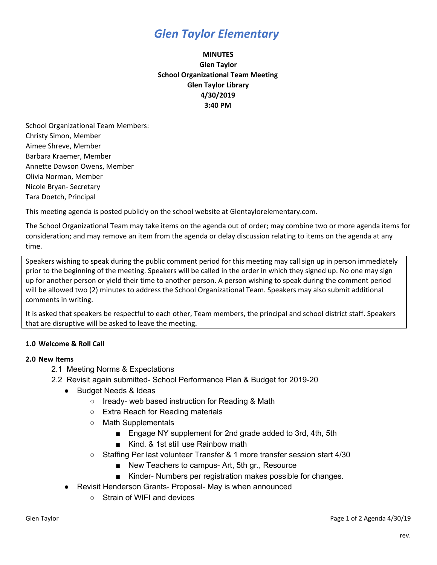## *Glen Taylor Elementary*

## **MINUTES Glen Taylor School Organizational Team Meeting Glen Taylor Library 4/30/2019 3:40 PM**

School Organizational Team Members: Christy Simon, Member Aimee Shreve, Member Barbara Kraemer, Member Annette Dawson Owens, Member Olivia Norman, Member Nicole Bryan- Secretary Tara Doetch, Principal

This meeting agenda is posted publicly on the school website at Glentaylorelementary.com.

The School Organizational Team may take items on the agenda out of order; may combine two or more agenda items for consideration; and may remove an item from the agenda or delay discussion relating to items on the agenda at any time.

Speakers wishing to speak during the public comment period for this meeting may call sign up in person immediately prior to the beginning of the meeting. Speakers will be called in the order in which they signed up. No one may sign up for another person or yield their time to another person. A person wishing to speak during the comment period will be allowed two (2) minutes to address the School Organizational Team. Speakers may also submit additional comments in writing.

It is asked that speakers be respectful to each other, Team members, the principal and school district staff. Speakers that are disruptive will be asked to leave the meeting.

### **1.0 Welcome & Roll Call**

### **2.0 New Items**

- 2.1 Meeting Norms & Expectations
- 2.2 Revisit again submitted- School Performance Plan & Budget for 2019-20
	- Budget Needs & Ideas
		- Iready- web based instruction for Reading & Math
		- Extra Reach for Reading materials
		- Math Supplementals
			- Engage NY supplement for 2nd grade added to 3rd, 4th, 5th
			- Kind. & 1st still use Rainbow math
		- Staffing Per last volunteer Transfer & 1 more transfer session start 4/30
			- New Teachers to campus- Art, 5th gr., Resource
			- Kinder- Numbers per registration makes possible for changes.
	- Revisit Henderson Grants- Proposal- May is when announced
		- Strain of WIFI and devices